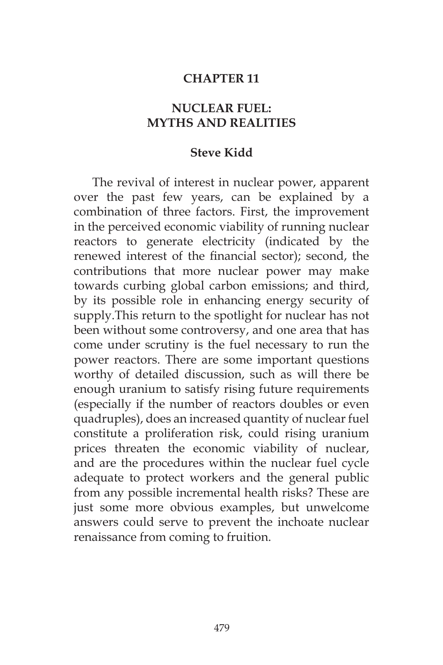#### **CHAPTER 11**

## **NUCLEAR FUEL: MYTHS AND REALITIES**

#### **Steve Kidd**

The revival of interest in nuclear power, apparent over the past few years, can be explained by a combination of three factors. First, the improvement in the perceived economic viability of running nuclear reactors to generate electricity (indicated by the renewed interest of the financial sector); second, the contributions that more nuclear power may make towards curbing global carbon emissions; and third, by its possible role in enhancing energy security of supply.This return to the spotlight for nuclear has not been without some controversy, and one area that has come under scrutiny is the fuel necessary to run the power reactors. There are some important questions worthy of detailed discussion, such as will there be enough uranium to satisfy rising future requirements (especially if the number of reactors doubles or even quadruples), does an increased quantity of nuclear fuel constitute a proliferation risk, could rising uranium prices threaten the economic viability of nuclear, and are the procedures within the nuclear fuel cycle adequate to protect workers and the general public from any possible incremental health risks? These are just some more obvious examples, but unwelcome answers could serve to prevent the inchoate nuclear renaissance from coming to fruition.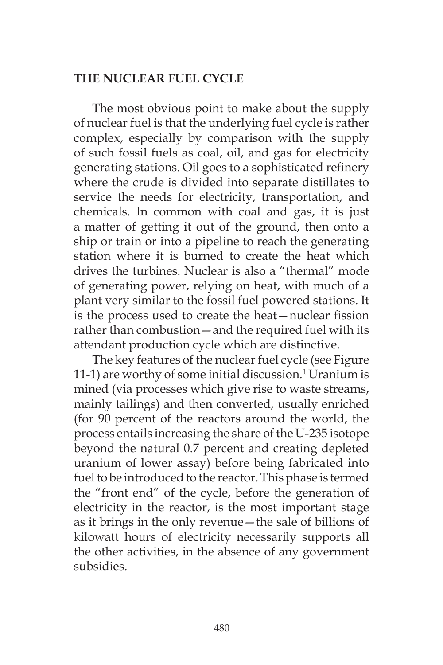## **THE NUCLEAR FUEL CYCLE**

The most obvious point to make about the supply of nuclear fuel is that the underlying fuel cycle is rather complex, especially by comparison with the supply of such fossil fuels as coal, oil, and gas for electricity generating stations. Oil goes to a sophisticated refinery where the crude is divided into separate distillates to service the needs for electricity, transportation, and chemicals. In common with coal and gas, it is just a matter of getting it out of the ground, then onto a ship or train or into a pipeline to reach the generating station where it is burned to create the heat which drives the turbines. Nuclear is also a "thermal" mode of generating power, relying on heat, with much of a plant very similar to the fossil fuel powered stations. It is the process used to create the heat—nuclear fission rather than combustion—and the required fuel with its attendant production cycle which are distinctive.

The key features of the nuclear fuel cycle (see Figure 11-1) are worthy of some initial discussion.<sup>1</sup> Uranium is mined (via processes which give rise to waste streams, mainly tailings) and then converted, usually enriched (for 90 percent of the reactors around the world, the process entails increasing the share of the U-235 isotope beyond the natural 0.7 percent and creating depleted uranium of lower assay) before being fabricated into fuel to be introduced to the reactor. This phase is termed the "front end" of the cycle, before the generation of electricity in the reactor, is the most important stage as it brings in the only revenue—the sale of billions of kilowatt hours of electricity necessarily supports all the other activities, in the absence of any government subsidies.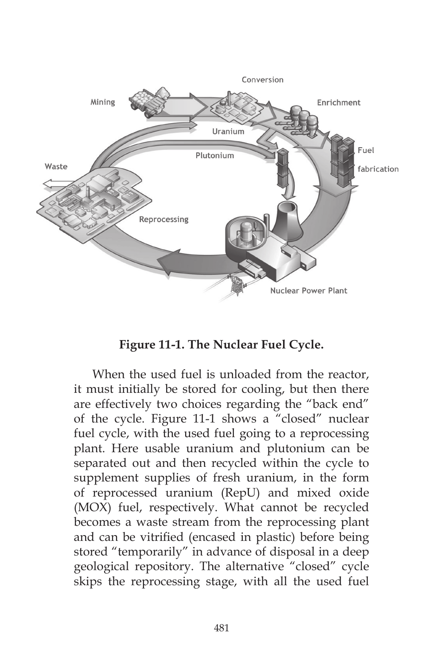

**Figure 11-1. The Nuclear Fuel Cycle.**

When the used fuel is unloaded from the reactor. it must initially be stored for cooling, but then there are effectively two choices regarding the "back end" of the cycle. Figure 11-1 shows a "closed" nuclear fuel cycle, with the used fuel going to a reprocessing plant. Here usable uranium and plutonium can be separated out and then recycled within the cycle to supplement supplies of fresh uranium, in the form of reprocessed uranium (RepU) and mixed oxide (MOX) fuel, respectively. What cannot be recycled becomes a waste stream from the reprocessing plant and can be vitrified (encased in plastic) before being stored "temporarily" in advance of disposal in a deep geological repository. The alternative "closed" cycle skips the reprocessing stage, with all the used fuel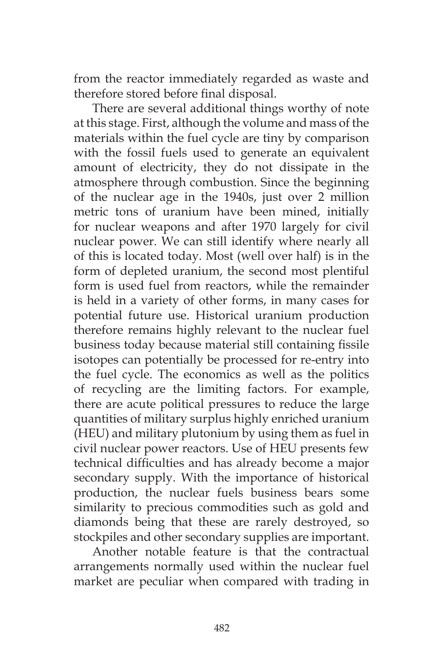from the reactor immediately regarded as waste and therefore stored before final disposal.

There are several additional things worthy of note at this stage. First, although the volume and mass of the materials within the fuel cycle are tiny by comparison with the fossil fuels used to generate an equivalent amount of electricity, they do not dissipate in the atmosphere through combustion. Since the beginning of the nuclear age in the 1940s, just over 2 million metric tons of uranium have been mined, initially for nuclear weapons and after 1970 largely for civil nuclear power. We can still identify where nearly all of this is located today. Most (well over half) is in the form of depleted uranium, the second most plentiful form is used fuel from reactors, while the remainder is held in a variety of other forms, in many cases for potential future use. Historical uranium production therefore remains highly relevant to the nuclear fuel business today because material still containing fissile isotopes can potentially be processed for re-entry into the fuel cycle. The economics as well as the politics of recycling are the limiting factors. For example, there are acute political pressures to reduce the large quantities of military surplus highly enriched uranium (HEU) and military plutonium by using them as fuel in civil nuclear power reactors. Use of HEU presents few technical difficulties and has already become a major secondary supply. With the importance of historical production, the nuclear fuels business bears some similarity to precious commodities such as gold and diamonds being that these are rarely destroyed, so stockpiles and other secondary supplies are important.

Another notable feature is that the contractual arrangements normally used within the nuclear fuel market are peculiar when compared with trading in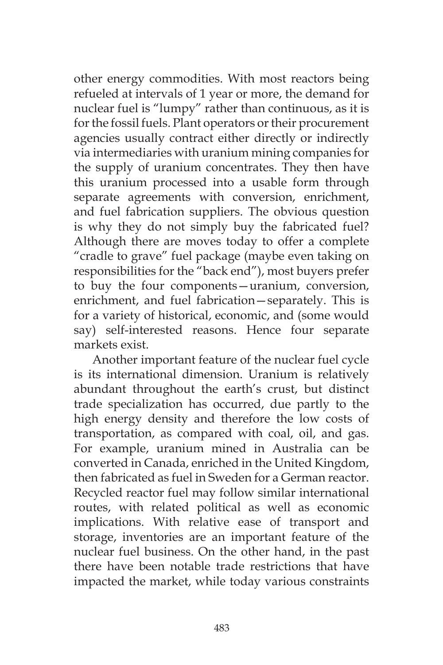other energy commodities. With most reactors being refueled at intervals of 1 year or more, the demand for nuclear fuel is "lumpy" rather than continuous, as it is for the fossil fuels. Plant operators or their procurement agencies usually contract either directly or indirectly via intermediaries with uranium mining companies for the supply of uranium concentrates. They then have this uranium processed into a usable form through separate agreements with conversion, enrichment, and fuel fabrication suppliers. The obvious question is why they do not simply buy the fabricated fuel? Although there are moves today to offer a complete "cradle to grave" fuel package (maybe even taking on responsibilities for the "back end"), most buyers prefer to buy the four components—uranium, conversion, enrichment, and fuel fabrication—separately. This is for a variety of historical, economic, and (some would say) self-interested reasons. Hence four separate markets exist.

Another important feature of the nuclear fuel cycle is its international dimension. Uranium is relatively abundant throughout the earth's crust, but distinct trade specialization has occurred, due partly to the high energy density and therefore the low costs of transportation, as compared with coal, oil, and gas. For example, uranium mined in Australia can be converted in Canada, enriched in the United Kingdom, then fabricated as fuel in Sweden for a German reactor. Recycled reactor fuel may follow similar international routes, with related political as well as economic implications. With relative ease of transport and storage, inventories are an important feature of the nuclear fuel business. On the other hand, in the past there have been notable trade restrictions that have impacted the market, while today various constraints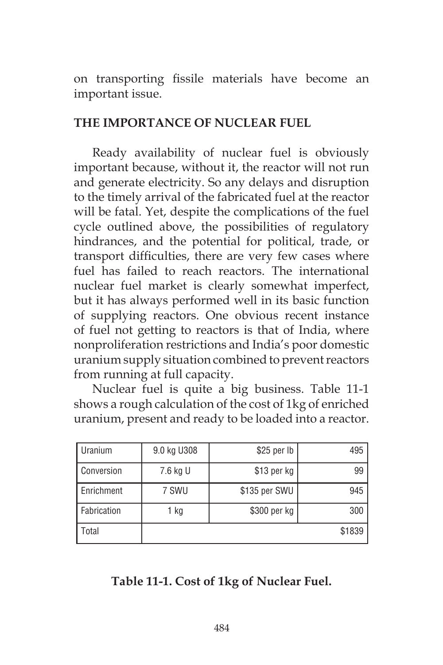on transporting fissile materials have become an important issue.

#### **THE IMPORTANCE OF NUCLEAR FUEL**

Ready availability of nuclear fuel is obviously important because, without it, the reactor will not run and generate electricity. So any delays and disruption to the timely arrival of the fabricated fuel at the reactor will be fatal. Yet, despite the complications of the fuel cycle outlined above, the possibilities of regulatory hindrances, and the potential for political, trade, or transport difficulties, there are very few cases where fuel has failed to reach reactors. The international nuclear fuel market is clearly somewhat imperfect, but it has always performed well in its basic function of supplying reactors. One obvious recent instance of fuel not getting to reactors is that of India, where nonproliferation restrictions and India's poor domestic uranium supply situation combined to prevent reactors from running at full capacity.

Nuclear fuel is quite a big business. Table 11-1 shows a rough calculation of the cost of 1kg of enriched uranium, present and ready to be loaded into a reactor.

| Uranium     | 9.0 kg U308 | \$25 per lb   | 495    |
|-------------|-------------|---------------|--------|
| Conversion  | 7.6 kg U    | \$13 per kg   | 99     |
| Enrichment  | 7 SWU       | \$135 per SWU | 945    |
| Fabrication | 1 kg        | \$300 per kg  | 300    |
| Total       |             |               | \$1839 |

## **Table 11-1. Cost of 1kg of Nuclear Fuel.**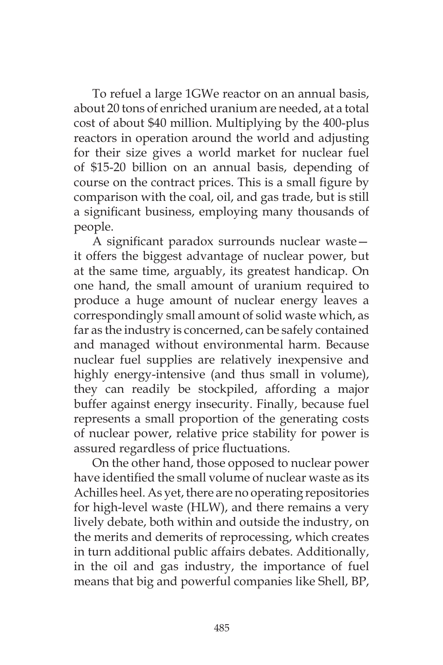To refuel a large 1GWe reactor on an annual basis, about 20 tons of enriched uranium are needed, at a total cost of about \$40 million. Multiplying by the 400-plus reactors in operation around the world and adjusting for their size gives a world market for nuclear fuel of \$15-20 billion on an annual basis, depending of course on the contract prices. This is a small figure by comparison with the coal, oil, and gas trade, but is still a significant business, employing many thousands of people.

A significant paradox surrounds nuclear waste it offers the biggest advantage of nuclear power, but at the same time, arguably, its greatest handicap. On one hand, the small amount of uranium required to produce a huge amount of nuclear energy leaves a correspondingly small amount of solid waste which, as far as the industry is concerned, can be safely contained and managed without environmental harm. Because nuclear fuel supplies are relatively inexpensive and highly energy-intensive (and thus small in volume), they can readily be stockpiled, affording a major buffer against energy insecurity. Finally, because fuel represents a small proportion of the generating costs of nuclear power, relative price stability for power is assured regardless of price fluctuations.

On the other hand, those opposed to nuclear power have identified the small volume of nuclear waste as its Achilles heel. As yet, there are no operating repositories for high-level waste (HLW), and there remains a very lively debate, both within and outside the industry, on the merits and demerits of reprocessing, which creates in turn additional public affairs debates. Additionally, in the oil and gas industry, the importance of fuel means that big and powerful companies like Shell, BP,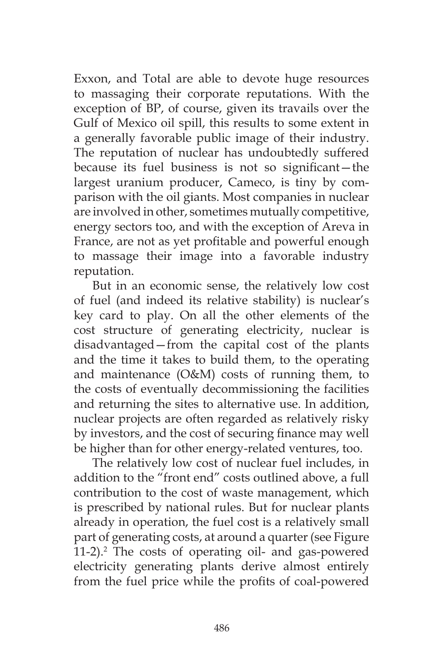Exxon, and Total are able to devote huge resources to massaging their corporate reputations. With the exception of BP, of course, given its travails over the Gulf of Mexico oil spill, this results to some extent in a generally favorable public image of their industry. The reputation of nuclear has undoubtedly suffered because its fuel business is not so significant—the largest uranium producer, Cameco, is tiny by comparison with the oil giants. Most companies in nuclear are involved in other, sometimes mutually competitive, energy sectors too, and with the exception of Areva in France, are not as yet profitable and powerful enough to massage their image into a favorable industry reputation.

But in an economic sense, the relatively low cost of fuel (and indeed its relative stability) is nuclear's key card to play. On all the other elements of the cost structure of generating electricity, nuclear is disadvantaged—from the capital cost of the plants and the time it takes to build them, to the operating and maintenance (O&M) costs of running them, to the costs of eventually decommissioning the facilities and returning the sites to alternative use. In addition, nuclear projects are often regarded as relatively risky by investors, and the cost of securing finance may well be higher than for other energy-related ventures, too.

The relatively low cost of nuclear fuel includes, in addition to the "front end" costs outlined above, a full contribution to the cost of waste management, which is prescribed by national rules. But for nuclear plants already in operation, the fuel cost is a relatively small part of generating costs, at around a quarter (see Figure 11-2).<sup>2</sup> The costs of operating oil- and gas-powered electricity generating plants derive almost entirely from the fuel price while the profits of coal-powered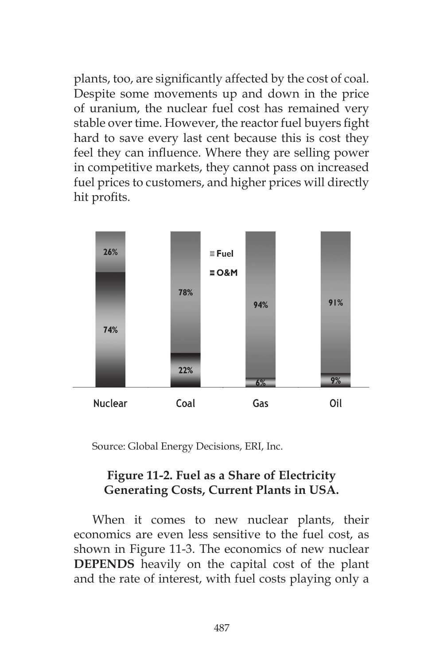plants, too, are significantly affected by the cost of coal. Despite some movements up and down in the price of uranium, the nuclear fuel cost has remained very stable over time. However, the reactor fuel buyers fight hard to save every last cent because this is cost they feel they can influence. Where they are selling power in competitive markets, they cannot pass on increased fuel prices to customers, and higher prices will directly hit profits.



Source: Global Energy Decisions, ERI, Inc.

## **Figure 11-2. Fuel as a Share of Electricity Generating Costs, Current Plants in USA.**

When it comes to new nuclear plants, their economics are even less sensitive to the fuel cost, as shown in Figure 11-3. The economics of new nuclear **DEPENDS** heavily on the capital cost of the plant and the rate of interest, with fuel costs playing only a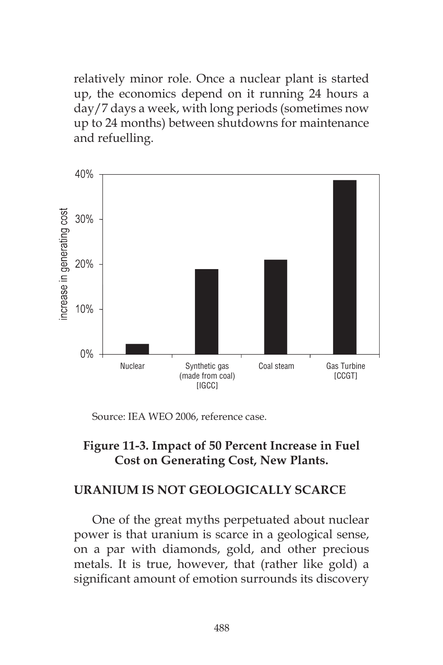relatively minor role. Once a nuclear plant is started up, the economics depend on it running 24 hours a day/7 days a week, with long periods (sometimes now up to 24 months) between shutdowns for maintenance and refuelling.



Source: IEA WEO 2006, reference case.

## **Figure 11-3. Impact of 50 Percent Increase in Fuel Cost on Generating Cost, New Plants.**

## **URANIUM IS NOT GEOLOGICALLY SCARCE**

One of the great myths perpetuated about nuclear power is that uranium is scarce in a geological sense, on a par with diamonds, gold, and other precious metals. It is true, however, that (rather like gold) a significant amount of emotion surrounds its discovery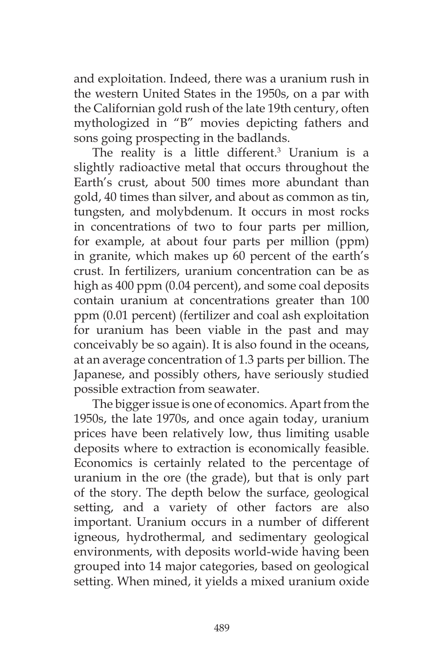and exploitation. Indeed, there was a uranium rush in the western United States in the 1950s, on a par with the Californian gold rush of the late 19th century, often mythologized in "B" movies depicting fathers and sons going prospecting in the badlands.

The reality is a little different.<sup>3</sup> Uranium is a slightly radioactive metal that occurs throughout the Earth's crust, about 500 times more abundant than gold, 40 times than silver, and about as common as tin, tungsten, and molybdenum. It occurs in most rocks in concentrations of two to four parts per million, for example, at about four parts per million (ppm) in granite, which makes up 60 percent of the earth's crust. In fertilizers, uranium concentration can be as high as 400 ppm (0.04 percent), and some coal deposits contain uranium at concentrations greater than 100 ppm (0.01 percent) (fertilizer and coal ash exploitation for uranium has been viable in the past and may conceivably be so again). It is also found in the oceans, at an average concentration of 1.3 parts per billion. The Japanese, and possibly others, have seriously studied possible extraction from seawater.

The bigger issue is one of economics. Apart from the 1950s, the late 1970s, and once again today, uranium prices have been relatively low, thus limiting usable deposits where to extraction is economically feasible. Economics is certainly related to the percentage of uranium in the ore (the grade), but that is only part of the story. The depth below the surface, geological setting, and a variety of other factors are also important. Uranium occurs in a number of different igneous, hydrothermal, and sedimentary geological environments, with deposits world-wide having been grouped into 14 major categories, based on geological setting. When mined, it yields a mixed uranium oxide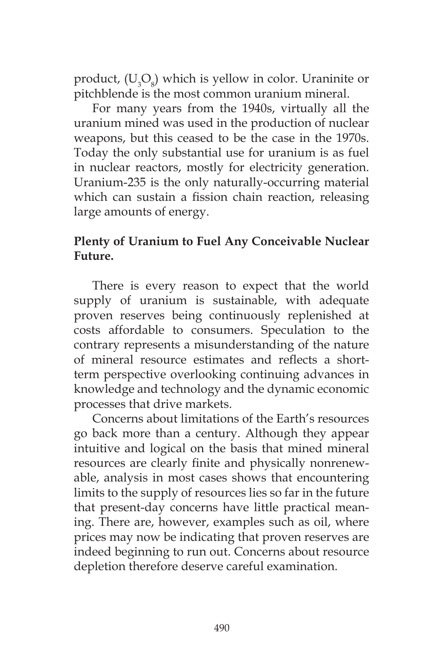product,  $(U_3O_8)$  which is yellow in color. Uraninite or pitchblende is the most common uranium mineral.

For many years from the 1940s, virtually all the uranium mined was used in the production of nuclear weapons, but this ceased to be the case in the 1970s. Today the only substantial use for uranium is as fuel in nuclear reactors, mostly for electricity generation. Uranium-235 is the only naturally-occurring material which can sustain a fission chain reaction, releasing large amounts of energy.

## **Plenty of Uranium to Fuel Any Conceivable Nuclear Future.**

There is every reason to expect that the world supply of uranium is sustainable, with adequate proven reserves being continuously replenished at costs affordable to consumers. Speculation to the contrary represents a misunderstanding of the nature of mineral resource estimates and reflects a shortterm perspective overlooking continuing advances in knowledge and technology and the dynamic economic processes that drive markets.

Concerns about limitations of the Earth's resources go back more than a century. Although they appear intuitive and logical on the basis that mined mineral resources are clearly finite and physically nonrenewable, analysis in most cases shows that encountering limits to the supply of resources lies so far in the future that present-day concerns have little practical meaning. There are, however, examples such as oil, where prices may now be indicating that proven reserves are indeed beginning to run out. Concerns about resource depletion therefore deserve careful examination.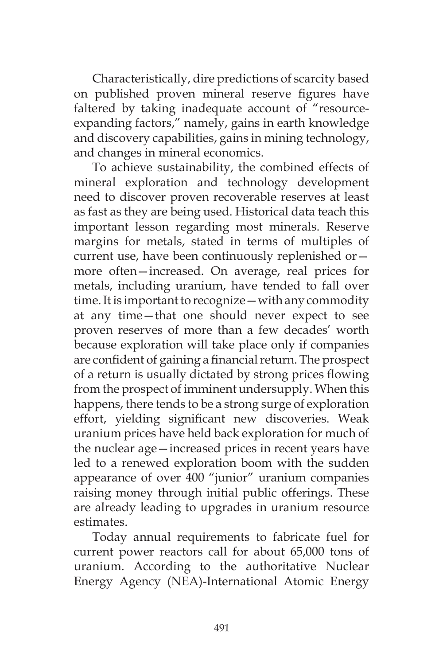Characteristically, dire predictions of scarcity based on published proven mineral reserve figures have faltered by taking inadequate account of "resourceexpanding factors," namely, gains in earth knowledge and discovery capabilities, gains in mining technology, and changes in mineral economics.

To achieve sustainability, the combined effects of mineral exploration and technology development need to discover proven recoverable reserves at least as fast as they are being used. Historical data teach this important lesson regarding most minerals. Reserve margins for metals, stated in terms of multiples of current use, have been continuously replenished or more often—increased. On average, real prices for metals, including uranium, have tended to fall over time. It is important to recognize—with any commodity at any time—that one should never expect to see proven reserves of more than a few decades' worth because exploration will take place only if companies are confident of gaining a financial return. The prospect of a return is usually dictated by strong prices flowing from the prospect of imminent undersupply. When this happens, there tends to be a strong surge of exploration effort, yielding significant new discoveries. Weak uranium prices have held back exploration for much of the nuclear age—increased prices in recent years have led to a renewed exploration boom with the sudden appearance of over 400 "junior" uranium companies raising money through initial public offerings. These are already leading to upgrades in uranium resource estimates.

Today annual requirements to fabricate fuel for current power reactors call for about 65,000 tons of uranium. According to the authoritative Nuclear Energy Agency (NEA)-International Atomic Energy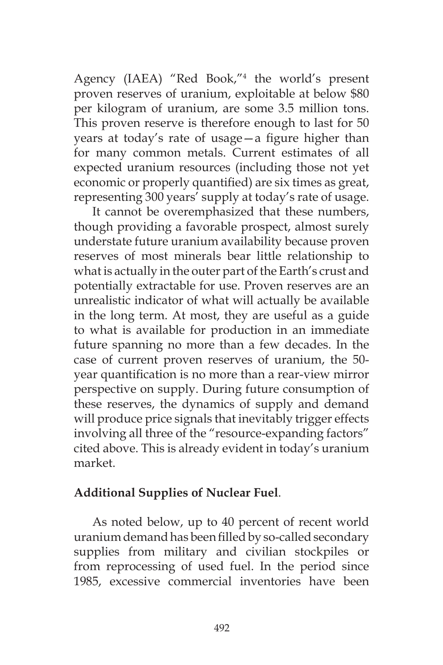Agency (IAEA) "Red Book,"4 the world's present proven reserves of uranium, exploitable at below \$80 per kilogram of uranium, are some 3.5 million tons. This proven reserve is therefore enough to last for 50 years at today's rate of usage—a figure higher than for many common metals. Current estimates of all expected uranium resources (including those not yet economic or properly quantified) are six times as great, representing 300 years' supply at today's rate of usage.

It cannot be overemphasized that these numbers, though providing a favorable prospect, almost surely understate future uranium availability because proven reserves of most minerals bear little relationship to what is actually in the outer part of the Earth's crust and potentially extractable for use. Proven reserves are an unrealistic indicator of what will actually be available in the long term. At most, they are useful as a guide to what is available for production in an immediate future spanning no more than a few decades. In the case of current proven reserves of uranium, the 50 year quantification is no more than a rear-view mirror perspective on supply. During future consumption of these reserves, the dynamics of supply and demand will produce price signals that inevitably trigger effects involving all three of the "resource-expanding factors" cited above. This is already evident in today's uranium market.

## **Additional Supplies of Nuclear Fuel**.

As noted below, up to 40 percent of recent world uranium demand has been filled by so-called secondary supplies from military and civilian stockpiles or from reprocessing of used fuel. In the period since 1985, excessive commercial inventories have been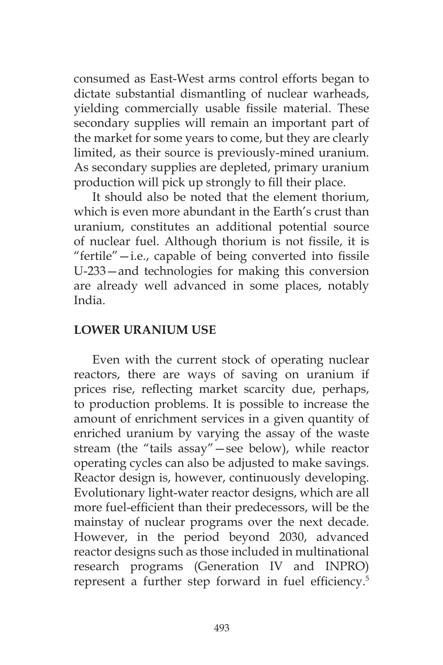consumed as East-West arms control efforts began to dictate substantial dismantling of nuclear warheads, yielding commercially usable fissile material. These secondary supplies will remain an important part of the market for some years to come, but they are clearly limited, as their source is previously-mined uranium. As secondary supplies are depleted, primary uranium production will pick up strongly to fill their place.

It should also be noted that the element thorium, which is even more abundant in the Earth's crust than uranium, constitutes an additional potential source of nuclear fuel. Although thorium is not fissile, it is "fertile"—i.e., capable of being converted into fissile U-233—and technologies for making this conversion are already well advanced in some places, notably India.

## **LOWER URANIUM USE**

Even with the current stock of operating nuclear reactors, there are ways of saving on uranium if prices rise, reflecting market scarcity due, perhaps, to production problems. It is possible to increase the amount of enrichment services in a given quantity of enriched uranium by varying the assay of the waste stream (the "tails assay"—see below), while reactor operating cycles can also be adjusted to make savings. Reactor design is, however, continuously developing. Evolutionary light-water reactor designs, which are all more fuel-efficient than their predecessors, will be the mainstay of nuclear programs over the next decade. However, in the period beyond 2030, advanced reactor designs such as those included in multinational research programs (Generation IV and INPRO) represent a further step forward in fuel efficiency.<sup>5</sup>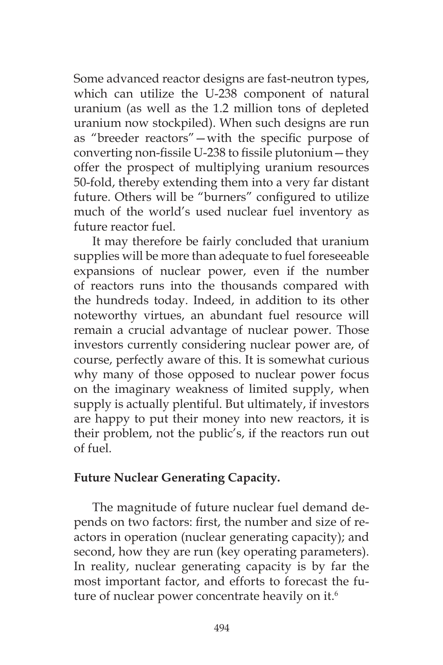Some advanced reactor designs are fast-neutron types, which can utilize the U-238 component of natural uranium (as well as the 1.2 million tons of depleted uranium now stockpiled). When such designs are run as "breeder reactors"—with the specific purpose of converting non-fissile U-238 to fissile plutonium—they offer the prospect of multiplying uranium resources 50-fold, thereby extending them into a very far distant future. Others will be "burners" configured to utilize much of the world's used nuclear fuel inventory as future reactor fuel.

It may therefore be fairly concluded that uranium supplies will be more than adequate to fuel foreseeable expansions of nuclear power, even if the number of reactors runs into the thousands compared with the hundreds today. Indeed, in addition to its other noteworthy virtues, an abundant fuel resource will remain a crucial advantage of nuclear power. Those investors currently considering nuclear power are, of course, perfectly aware of this. It is somewhat curious why many of those opposed to nuclear power focus on the imaginary weakness of limited supply, when supply is actually plentiful. But ultimately, if investors are happy to put their money into new reactors, it is their problem, not the public's, if the reactors run out of fuel.

## **Future Nuclear Generating Capacity.**

The magnitude of future nuclear fuel demand depends on two factors: first, the number and size of reactors in operation (nuclear generating capacity); and second, how they are run (key operating parameters). In reality, nuclear generating capacity is by far the most important factor, and efforts to forecast the future of nuclear power concentrate heavily on it.<sup>6</sup>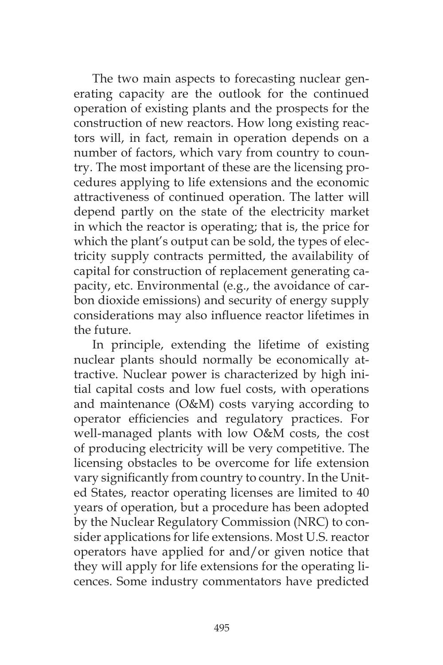The two main aspects to forecasting nuclear generating capacity are the outlook for the continued operation of existing plants and the prospects for the construction of new reactors. How long existing reactors will, in fact, remain in operation depends on a number of factors, which vary from country to country. The most important of these are the licensing procedures applying to life extensions and the economic attractiveness of continued operation. The latter will depend partly on the state of the electricity market in which the reactor is operating; that is, the price for which the plant's output can be sold, the types of electricity supply contracts permitted, the availability of capital for construction of replacement generating capacity, etc. Environmental (e.g., the avoidance of carbon dioxide emissions) and security of energy supply considerations may also influence reactor lifetimes in the future.

In principle, extending the lifetime of existing nuclear plants should normally be economically attractive. Nuclear power is characterized by high initial capital costs and low fuel costs, with operations and maintenance (O&M) costs varying according to operator efficiencies and regulatory practices. For well-managed plants with low O&M costs, the cost of producing electricity will be very competitive. The licensing obstacles to be overcome for life extension vary significantly from country to country. In the United States, reactor operating licenses are limited to 40 years of operation, but a procedure has been adopted by the Nuclear Regulatory Commission (NRC) to consider applications for life extensions. Most U.S. reactor operators have applied for and/or given notice that they will apply for life extensions for the operating licences. Some industry commentators have predicted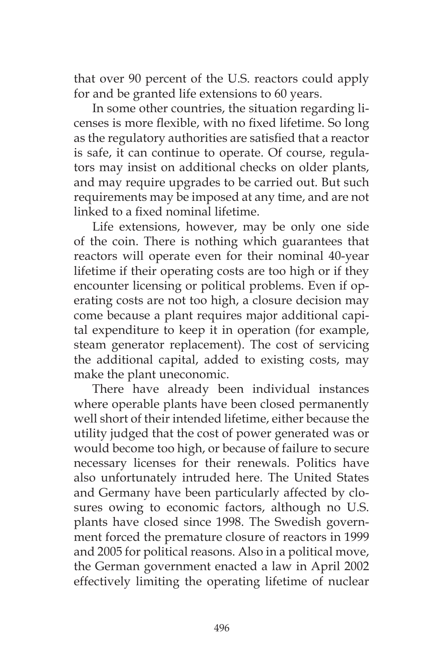that over 90 percent of the U.S. reactors could apply for and be granted life extensions to 60 years.

In some other countries, the situation regarding licenses is more flexible, with no fixed lifetime. So long as the regulatory authorities are satisfied that a reactor is safe, it can continue to operate. Of course, regulators may insist on additional checks on older plants, and may require upgrades to be carried out. But such requirements may be imposed at any time, and are not linked to a fixed nominal lifetime.

Life extensions, however, may be only one side of the coin. There is nothing which guarantees that reactors will operate even for their nominal 40-year lifetime if their operating costs are too high or if they encounter licensing or political problems. Even if operating costs are not too high, a closure decision may come because a plant requires major additional capital expenditure to keep it in operation (for example, steam generator replacement). The cost of servicing the additional capital, added to existing costs, may make the plant uneconomic.

There have already been individual instances where operable plants have been closed permanently well short of their intended lifetime, either because the utility judged that the cost of power generated was or would become too high, or because of failure to secure necessary licenses for their renewals. Politics have also unfortunately intruded here. The United States and Germany have been particularly affected by closures owing to economic factors, although no U.S. plants have closed since 1998. The Swedish government forced the premature closure of reactors in 1999 and 2005 for political reasons. Also in a political move, the German government enacted a law in April 2002 effectively limiting the operating lifetime of nuclear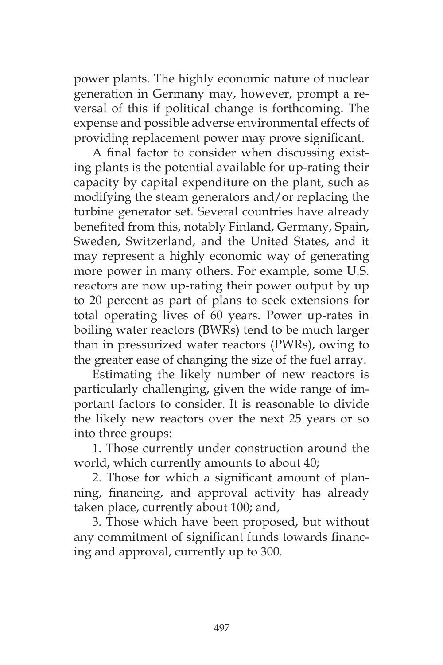power plants. The highly economic nature of nuclear generation in Germany may, however, prompt a reversal of this if political change is forthcoming. The expense and possible adverse environmental effects of providing replacement power may prove significant.

A final factor to consider when discussing existing plants is the potential available for up-rating their capacity by capital expenditure on the plant, such as modifying the steam generators and/or replacing the turbine generator set. Several countries have already benefited from this, notably Finland, Germany, Spain, Sweden, Switzerland, and the United States, and it may represent a highly economic way of generating more power in many others. For example, some U.S. reactors are now up-rating their power output by up to 20 percent as part of plans to seek extensions for total operating lives of 60 years. Power up-rates in boiling water reactors (BWRs) tend to be much larger than in pressurized water reactors (PWRs), owing to the greater ease of changing the size of the fuel array.

Estimating the likely number of new reactors is particularly challenging, given the wide range of important factors to consider. It is reasonable to divide the likely new reactors over the next 25 years or so into three groups:

1. Those currently under construction around the world, which currently amounts to about 40;

2. Those for which a significant amount of planning, financing, and approval activity has already taken place, currently about 100; and,

3. Those which have been proposed, but without any commitment of significant funds towards financing and approval, currently up to 300.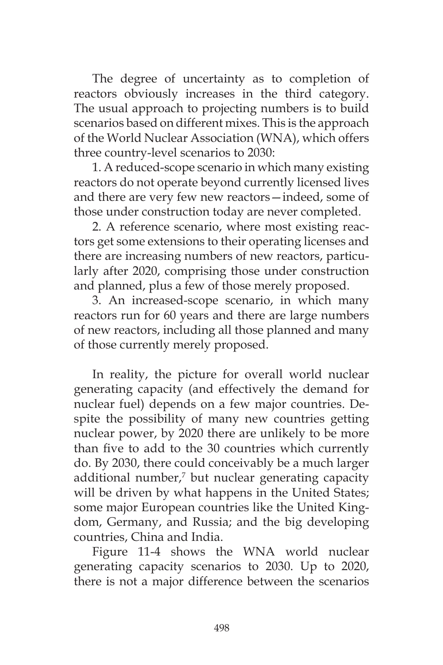The degree of uncertainty as to completion of reactors obviously increases in the third category. The usual approach to projecting numbers is to build scenarios based on different mixes. This is the approach of the World Nuclear Association (WNA), which offers three country-level scenarios to 2030:

1. A reduced-scope scenario in which many existing reactors do not operate beyond currently licensed lives and there are very few new reactors—indeed, some of those under construction today are never completed.

2. A reference scenario, where most existing reactors get some extensions to their operating licenses and there are increasing numbers of new reactors, particularly after 2020, comprising those under construction and planned, plus a few of those merely proposed.

3. An increased-scope scenario, in which many reactors run for 60 years and there are large numbers of new reactors, including all those planned and many of those currently merely proposed.

In reality, the picture for overall world nuclear generating capacity (and effectively the demand for nuclear fuel) depends on a few major countries. Despite the possibility of many new countries getting nuclear power, by 2020 there are unlikely to be more than five to add to the 30 countries which currently do. By 2030, there could conceivably be a much larger additional number,7 but nuclear generating capacity will be driven by what happens in the United States; some major European countries like the United Kingdom, Germany, and Russia; and the big developing countries, China and India.

Figure 11-4 shows the WNA world nuclear generating capacity scenarios to 2030. Up to 2020, there is not a major difference between the scenarios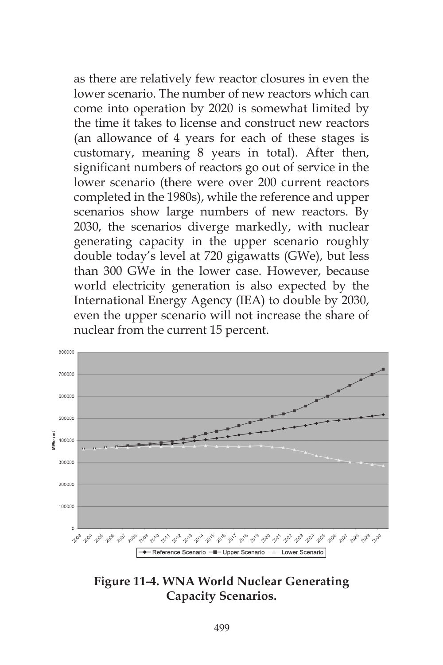as there are relatively few reactor closures in even the lower scenario. The number of new reactors which can come into operation by 2020 is somewhat limited by the time it takes to license and construct new reactors (an allowance of 4 years for each of these stages is customary, meaning 8 years in total). After then, significant numbers of reactors go out of service in the lower scenario (there were over 200 current reactors completed in the 1980s), while the reference and upper scenarios show large numbers of new reactors. By 2030, the scenarios diverge markedly, with nuclear generating capacity in the upper scenario roughly double today's level at 720 gigawatts (GWe), but less than 300 GWe in the lower case. However, because world electricity generation is also expected by the International Energy Agency (IEA) to double by 2030, even the upper scenario will not increase the share of nuclear from the current 15 percent.



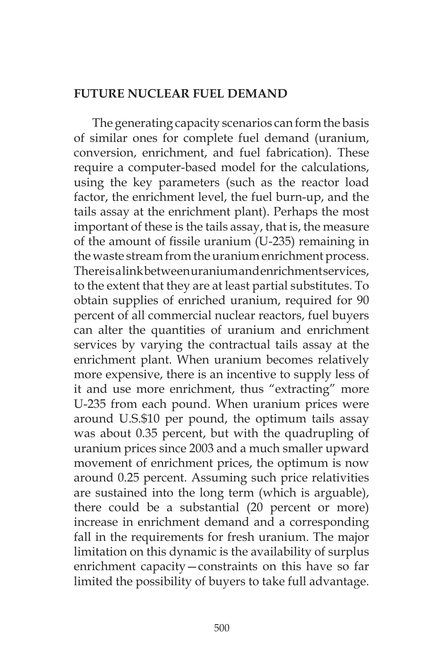#### **FUTURE NUCLEAR FUEL DEMAND**

The generating capacity scenarios can form the basis of similar ones for complete fuel demand (uranium, conversion, enrichment, and fuel fabrication). These require a computer-based model for the calculations, using the key parameters (such as the reactor load factor, the enrichment level, the fuel burn-up, and the tails assay at the enrichment plant). Perhaps the most important of these is the tails assay, that is, the measure of the amount of fissile uranium (U-235) remaining in the waste stream from the uranium enrichment process. There is a link between uranium and enrichment services, to the extent that they are at least partial substitutes. To obtain supplies of enriched uranium, required for 90 percent of all commercial nuclear reactors, fuel buyers can alter the quantities of uranium and enrichment services by varying the contractual tails assay at the enrichment plant. When uranium becomes relatively more expensive, there is an incentive to supply less of it and use more enrichment, thus "extracting" more U-235 from each pound. When uranium prices were around U.S.\$10 per pound, the optimum tails assay was about 0.35 percent, but with the quadrupling of uranium prices since 2003 and a much smaller upward movement of enrichment prices, the optimum is now around 0.25 percent. Assuming such price relativities are sustained into the long term (which is arguable), there could be a substantial (20 percent or more) increase in enrichment demand and a corresponding fall in the requirements for fresh uranium. The major limitation on this dynamic is the availability of surplus enrichment capacity—constraints on this have so far limited the possibility of buyers to take full advantage.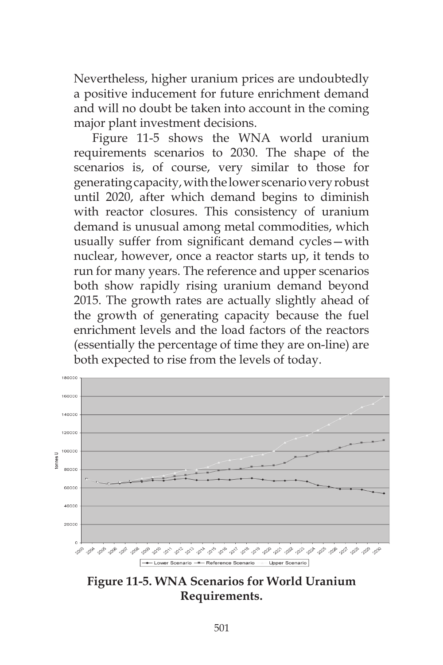Nevertheless, higher uranium prices are undoubtedly a positive inducement for future enrichment demand and will no doubt be taken into account in the coming major plant investment decisions.

Figure 11-5 shows the WNA world uranium requirements scenarios to 2030. The shape of the scenarios is, of course, very similar to those for generating capacity, with the lower scenario very robust until 2020, after which demand begins to diminish with reactor closures. This consistency of uranium demand is unusual among metal commodities, which usually suffer from significant demand cycles—with nuclear, however, once a reactor starts up, it tends to run for many years. The reference and upper scenarios both show rapidly rising uranium demand beyond 2015. The growth rates are actually slightly ahead of the growth of generating capacity because the fuel enrichment levels and the load factors of the reactors (essentially the percentage of time they are on-line) are both expected to rise from the levels of today.



**Figure 11-5. WNA Scenarios for World Uranium Requirements.**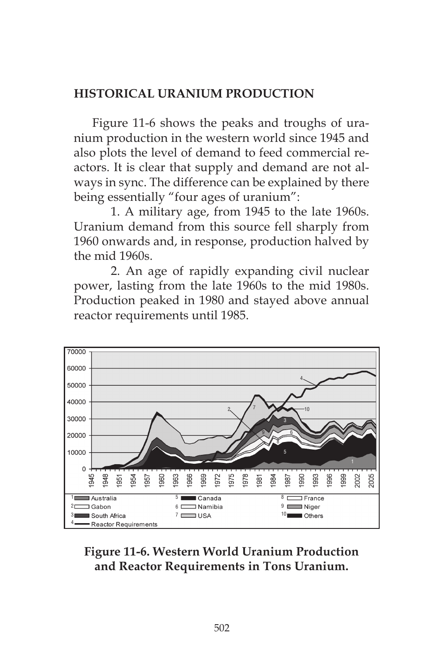## **HISTORICAL URANIUM PRODUCTION**

Figure 11-6 shows the peaks and troughs of uranium production in the western world since 1945 and also plots the level of demand to feed commercial reactors. It is clear that supply and demand are not always in sync. The difference can be explained by there being essentially "four ages of uranium":

1. A military age, from 1945 to the late 1960s. Uranium demand from this source fell sharply from 1960 onwards and, in response, production halved by the mid 1960s.

2. An age of rapidly expanding civil nuclear power, lasting from the late 1960s to the mid 1980s. Production peaked in 1980 and stayed above annual reactor requirements until 1985.



# **Figure 11-6. Western World Uranium Production and Reactor Requirements in Tons Uranium.**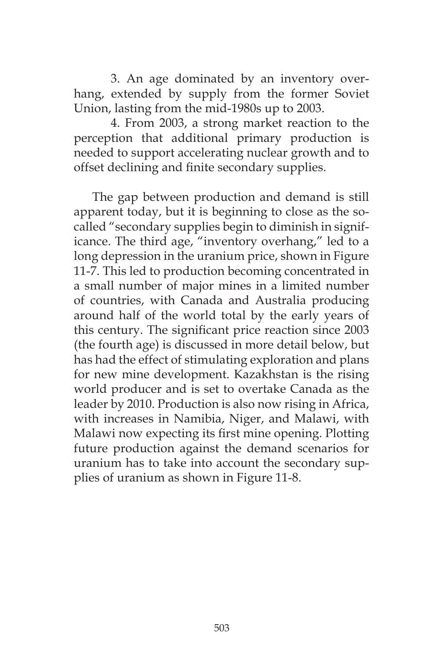3. An age dominated by an inventory overhang, extended by supply from the former Soviet Union, lasting from the mid-1980s up to 2003.

4. From 2003, a strong market reaction to the perception that additional primary production is needed to support accelerating nuclear growth and to offset declining and finite secondary supplies.

The gap between production and demand is still apparent today, but it is beginning to close as the socalled "secondary supplies begin to diminish in significance. The third age, "inventory overhang," led to a long depression in the uranium price, shown in Figure 11-7. This led to production becoming concentrated in a small number of major mines in a limited number of countries, with Canada and Australia producing around half of the world total by the early years of this century. The significant price reaction since 2003 (the fourth age) is discussed in more detail below, but has had the effect of stimulating exploration and plans for new mine development. Kazakhstan is the rising world producer and is set to overtake Canada as the leader by 2010. Production is also now rising in Africa, with increases in Namibia, Niger, and Malawi, with Malawi now expecting its first mine opening. Plotting future production against the demand scenarios for uranium has to take into account the secondary supplies of uranium as shown in Figure 11-8.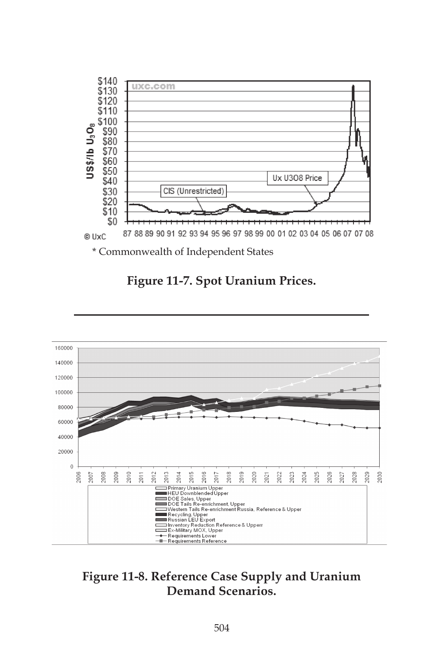



**Figure 11-7. Spot Uranium Prices.**

## **Figure 11-8. Reference Case Supply and Uranium Demand Scenarios.**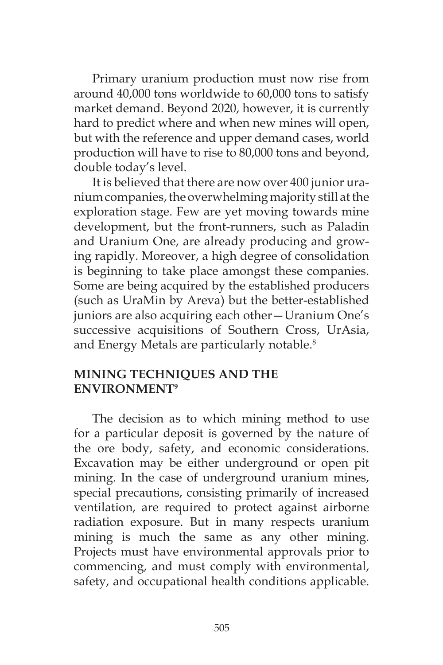Primary uranium production must now rise from around 40,000 tons worldwide to 60,000 tons to satisfy market demand. Beyond 2020, however, it is currently hard to predict where and when new mines will open, but with the reference and upper demand cases, world production will have to rise to 80,000 tons and beyond, double today's level.

It is believed that there are now over 400 junior uranium companies, the overwhelming majority still at the exploration stage. Few are yet moving towards mine development, but the front-runners, such as Paladin and Uranium One, are already producing and growing rapidly. Moreover, a high degree of consolidation is beginning to take place amongst these companies. Some are being acquired by the established producers (such as UraMin by Areva) but the better-established juniors are also acquiring each other—Uranium One's successive acquisitions of Southern Cross, UrAsia, and Energy Metals are particularly notable.<sup>8</sup>

## **MINING TECHNIQUES AND THE ENVIRONMENT9**

The decision as to which mining method to use for a particular deposit is governed by the nature of the ore body, safety, and economic considerations. Excavation may be either underground or open pit mining. In the case of underground uranium mines, special precautions, consisting primarily of increased ventilation, are required to protect against airborne radiation exposure. But in many respects uranium mining is much the same as any other mining. Projects must have environmental approvals prior to commencing, and must comply with environmental, safety, and occupational health conditions applicable.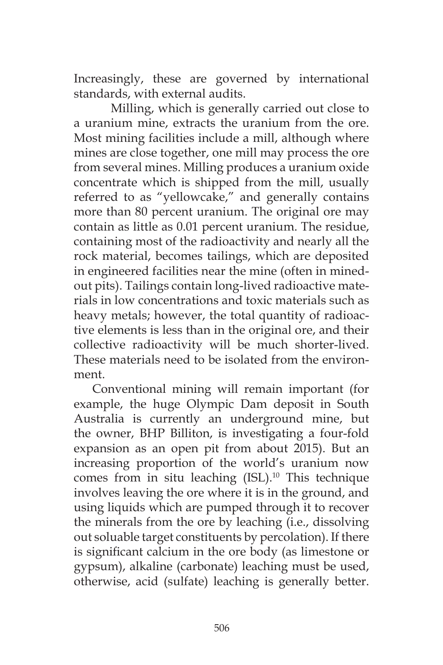Increasingly, these are governed by international standards, with external audits.

Milling, which is generally carried out close to a uranium mine, extracts the uranium from the ore. Most mining facilities include a mill, although where mines are close together, one mill may process the ore from several mines. Milling produces a uranium oxide concentrate which is shipped from the mill, usually referred to as "yellowcake," and generally contains more than 80 percent uranium. The original ore may contain as little as 0.01 percent uranium. The residue, containing most of the radioactivity and nearly all the rock material, becomes tailings, which are deposited in engineered facilities near the mine (often in minedout pits). Tailings contain long-lived radioactive materials in low concentrations and toxic materials such as heavy metals; however, the total quantity of radioactive elements is less than in the original ore, and their collective radioactivity will be much shorter-lived. These materials need to be isolated from the environment.

Conventional mining will remain important (for example, the huge Olympic Dam deposit in South Australia is currently an underground mine, but the owner, BHP Billiton, is investigating a four-fold expansion as an open pit from about 2015). But an increasing proportion of the world's uranium now comes from in situ leaching  $(ISL)$ .<sup>10</sup> This technique involves leaving the ore where it is in the ground, and using liquids which are pumped through it to recover the minerals from the ore by leaching (i.e., dissolving out soluable target constituents by percolation). If there is significant calcium in the ore body (as limestone or gypsum), alkaline (carbonate) leaching must be used, otherwise, acid (sulfate) leaching is generally better.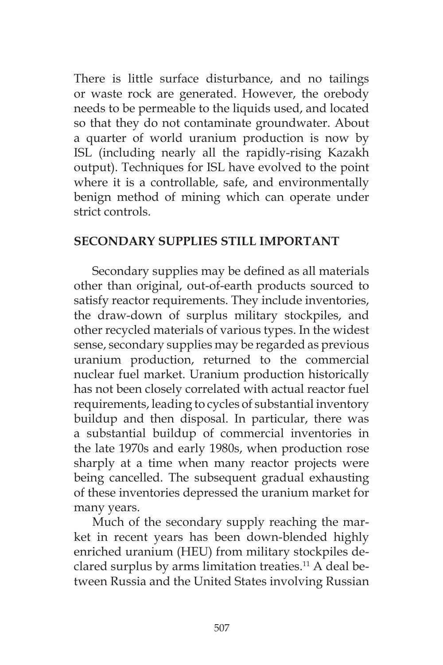There is little surface disturbance, and no tailings or waste rock are generated. However, the orebody needs to be permeable to the liquids used, and located so that they do not contaminate groundwater. About a quarter of world uranium production is now by ISL (including nearly all the rapidly-rising Kazakh output). Techniques for ISL have evolved to the point where it is a controllable, safe, and environmentally benign method of mining which can operate under strict controls.

## **SECONDARY SUPPLIES STILL IMPORTANT**

Secondary supplies may be defined as all materials other than original, out-of-earth products sourced to satisfy reactor requirements. They include inventories, the draw-down of surplus military stockpiles, and other recycled materials of various types. In the widest sense, secondary supplies may be regarded as previous uranium production, returned to the commercial nuclear fuel market. Uranium production historically has not been closely correlated with actual reactor fuel requirements, leading to cycles of substantial inventory buildup and then disposal. In particular, there was a substantial buildup of commercial inventories in the late 1970s and early 1980s, when production rose sharply at a time when many reactor projects were being cancelled. The subsequent gradual exhausting of these inventories depressed the uranium market for many years.

Much of the secondary supply reaching the market in recent years has been down-blended highly enriched uranium (HEU) from military stockpiles declared surplus by arms limitation treaties.<sup>11</sup> A deal between Russia and the United States involving Russian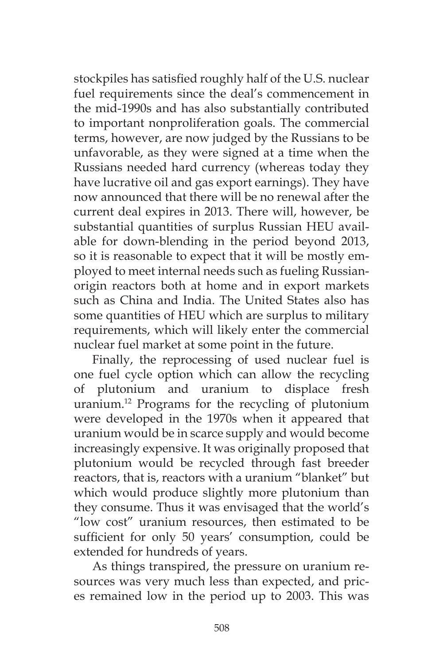stockpiles has satisfied roughly half of the U.S. nuclear fuel requirements since the deal's commencement in the mid-1990s and has also substantially contributed to important nonproliferation goals. The commercial terms, however, are now judged by the Russians to be unfavorable, as they were signed at a time when the Russians needed hard currency (whereas today they have lucrative oil and gas export earnings). They have now announced that there will be no renewal after the current deal expires in 2013. There will, however, be substantial quantities of surplus Russian HEU available for down-blending in the period beyond 2013, so it is reasonable to expect that it will be mostly employed to meet internal needs such as fueling Russianorigin reactors both at home and in export markets such as China and India. The United States also has some quantities of HEU which are surplus to military requirements, which will likely enter the commercial nuclear fuel market at some point in the future.

Finally, the reprocessing of used nuclear fuel is one fuel cycle option which can allow the recycling of plutonium and uranium to displace fresh uranium.12 Programs for the recycling of plutonium were developed in the 1970s when it appeared that uranium would be in scarce supply and would become increasingly expensive. It was originally proposed that plutonium would be recycled through fast breeder reactors, that is, reactors with a uranium "blanket" but which would produce slightly more plutonium than they consume. Thus it was envisaged that the world's "low cost" uranium resources, then estimated to be sufficient for only 50 years' consumption, could be extended for hundreds of years.

As things transpired, the pressure on uranium resources was very much less than expected, and prices remained low in the period up to 2003. This was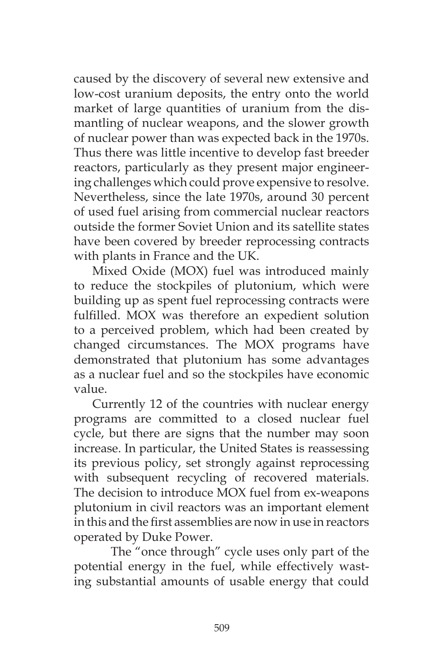caused by the discovery of several new extensive and low-cost uranium deposits, the entry onto the world market of large quantities of uranium from the dismantling of nuclear weapons, and the slower growth of nuclear power than was expected back in the 1970s. Thus there was little incentive to develop fast breeder reactors, particularly as they present major engineering challenges which could prove expensive to resolve. Nevertheless, since the late 1970s, around 30 percent of used fuel arising from commercial nuclear reactors outside the former Soviet Union and its satellite states have been covered by breeder reprocessing contracts with plants in France and the UK.

Mixed Oxide (MOX) fuel was introduced mainly to reduce the stockpiles of plutonium, which were building up as spent fuel reprocessing contracts were fulfilled. MOX was therefore an expedient solution to a perceived problem, which had been created by changed circumstances. The MOX programs have demonstrated that plutonium has some advantages as a nuclear fuel and so the stockpiles have economic value.

Currently 12 of the countries with nuclear energy programs are committed to a closed nuclear fuel cycle, but there are signs that the number may soon increase. In particular, the United States is reassessing its previous policy, set strongly against reprocessing with subsequent recycling of recovered materials. The decision to introduce MOX fuel from ex-weapons plutonium in civil reactors was an important element in this and the first assemblies are now in use in reactors operated by Duke Power.

The "once through" cycle uses only part of the potential energy in the fuel, while effectively wasting substantial amounts of usable energy that could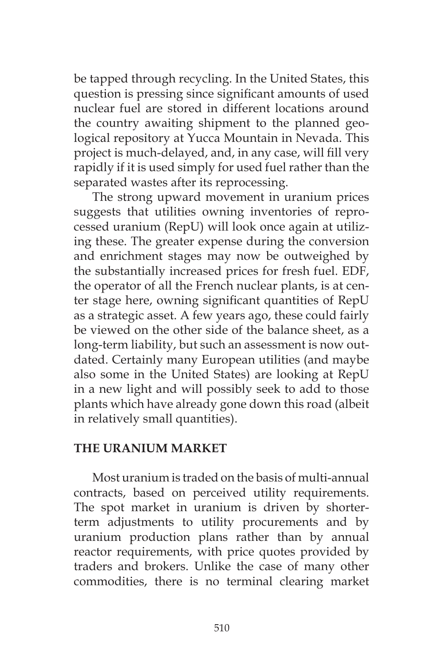be tapped through recycling. In the United States, this question is pressing since significant amounts of used nuclear fuel are stored in different locations around the country awaiting shipment to the planned geological repository at Yucca Mountain in Nevada. This project is much-delayed, and, in any case, will fill very rapidly if it is used simply for used fuel rather than the separated wastes after its reprocessing.

The strong upward movement in uranium prices suggests that utilities owning inventories of reprocessed uranium (RepU) will look once again at utilizing these. The greater expense during the conversion and enrichment stages may now be outweighed by the substantially increased prices for fresh fuel. EDF, the operator of all the French nuclear plants, is at center stage here, owning significant quantities of RepU as a strategic asset. A few years ago, these could fairly be viewed on the other side of the balance sheet, as a long-term liability, but such an assessment is now outdated. Certainly many European utilities (and maybe also some in the United States) are looking at RepU in a new light and will possibly seek to add to those plants which have already gone down this road (albeit in relatively small quantities).

#### **THE URANIUM MARKET**

Most uranium is traded on the basis of multi-annual contracts, based on perceived utility requirements. The spot market in uranium is driven by shorterterm adjustments to utility procurements and by uranium production plans rather than by annual reactor requirements, with price quotes provided by traders and brokers. Unlike the case of many other commodities, there is no terminal clearing market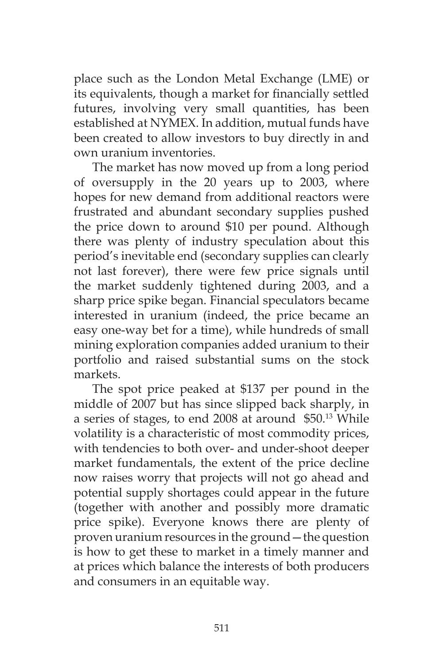place such as the London Metal Exchange (LME) or its equivalents, though a market for financially settled futures, involving very small quantities, has been established at NYMEX. In addition, mutual funds have been created to allow investors to buy directly in and own uranium inventories.

The market has now moved up from a long period of oversupply in the 20 years up to 2003, where hopes for new demand from additional reactors were frustrated and abundant secondary supplies pushed the price down to around \$10 per pound. Although there was plenty of industry speculation about this period's inevitable end (secondary supplies can clearly not last forever), there were few price signals until the market suddenly tightened during 2003, and a sharp price spike began. Financial speculators became interested in uranium (indeed, the price became an easy one-way bet for a time), while hundreds of small mining exploration companies added uranium to their portfolio and raised substantial sums on the stock markets.

The spot price peaked at \$137 per pound in the middle of 2007 but has since slipped back sharply, in a series of stages, to end 2008 at around \$50.13 While volatility is a characteristic of most commodity prices, with tendencies to both over- and under-shoot deeper market fundamentals, the extent of the price decline now raises worry that projects will not go ahead and potential supply shortages could appear in the future (together with another and possibly more dramatic price spike). Everyone knows there are plenty of proven uranium resources in the ground—the question is how to get these to market in a timely manner and at prices which balance the interests of both producers and consumers in an equitable way.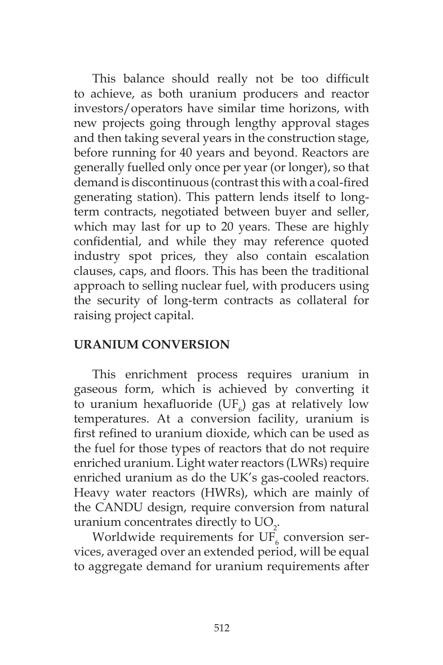This balance should really not be too difficult to achieve, as both uranium producers and reactor investors/operators have similar time horizons, with new projects going through lengthy approval stages and then taking several years in the construction stage, before running for 40 years and beyond. Reactors are generally fuelled only once per year (or longer), so that demand is discontinuous (contrast this with a coal-fired generating station). This pattern lends itself to longterm contracts, negotiated between buyer and seller, which may last for up to 20 years. These are highly confidential, and while they may reference quoted industry spot prices, they also contain escalation clauses, caps, and floors. This has been the traditional approach to selling nuclear fuel, with producers using the security of long-term contracts as collateral for raising project capital.

## **URANIUM CONVERSION**

This enrichment process requires uranium in gaseous form, which is achieved by converting it to uranium hexafluoride (UF $_{6}$ ) gas at relatively low temperatures. At a conversion facility, uranium is first refined to uranium dioxide, which can be used as the fuel for those types of reactors that do not require enriched uranium. Light water reactors (LWRs) require enriched uranium as do the UK's gas-cooled reactors. Heavy water reactors (HWRs), which are mainly of the CANDU design, require conversion from natural uranium concentrates directly to  $\mathrm{UO}_{2}$ .

Worldwide requirements for  $\mathrm{UF}_6$  conversion services, averaged over an extended period, will be equal to aggregate demand for uranium requirements after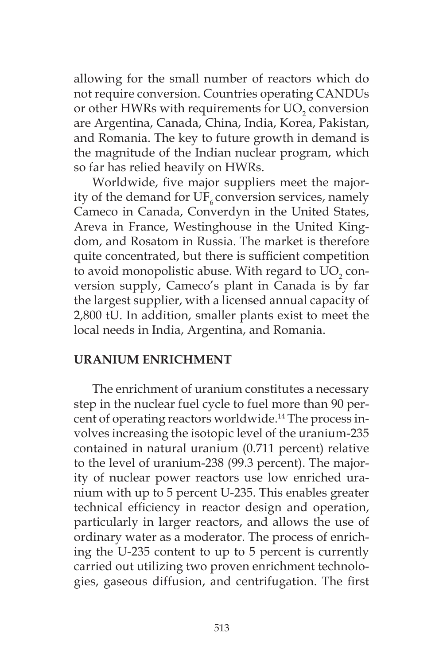allowing for the small number of reactors which do not require conversion. Countries operating CANDUs or other HWRs with requirements for  $\rm UO_{2}$  conversion are Argentina, Canada, China, India, Korea, Pakistan, and Romania. The key to future growth in demand is the magnitude of the Indian nuclear program, which so far has relied heavily on HWRs.

Worldwide, five major suppliers meet the majority of the demand for  $UF<sub>6</sub>$  conversion services, namely Cameco in Canada, Converdyn in the United States, Areva in France, Westinghouse in the United Kingdom, and Rosatom in Russia. The market is therefore quite concentrated, but there is sufficient competition to avoid monopolistic abuse. With regard to  $\mathrm{UO}_2^{}$  conversion supply, Cameco's plant in Canada is by far the largest supplier, with a licensed annual capacity of 2,800 tU. In addition, smaller plants exist to meet the local needs in India, Argentina, and Romania.

## **URANIUM ENRICHMENT**

The enrichment of uranium constitutes a necessary step in the nuclear fuel cycle to fuel more than 90 percent of operating reactors worldwide.<sup>14</sup> The process involves increasing the isotopic level of the uranium-235 contained in natural uranium (0.711 percent) relative to the level of uranium-238 (99.3 percent). The majority of nuclear power reactors use low enriched uranium with up to 5 percent U‑235. This enables greater technical efficiency in reactor design and operation, particularly in larger reactors, and allows the use of ordinary water as a moderator. The process of enriching the U-235 content to up to 5 percent is currently carried out utilizing two proven enrichment technologies, gaseous diffusion, and centrifugation. The first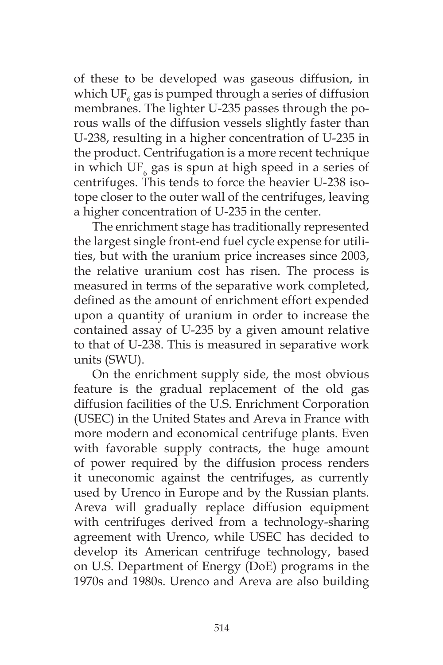of these to be developed was gaseous diffusion, in which  $\mathrm{UF}_6$  gas is pumped through a series of diffusion membranes. The lighter U‑235 passes through the porous walls of the diffusion vessels slightly faster than U‑238, resulting in a higher concentration of U‑235 in the product. Centrifugation is a more recent technique in which  $\mathrm{UF}_6$  gas is spun at high speed in a series of centrifuges. This tends to force the heavier U‑238 isotope closer to the outer wall of the centrifuges, leaving a higher concentration of U‑235 in the center.

The enrichment stage has traditionally represented the largest single front-end fuel cycle expense for utilities, but with the uranium price increases since 2003, the relative uranium cost has risen. The process is measured in terms of the separative work completed, defined as the amount of enrichment effort expended upon a quantity of uranium in order to increase the contained assay of U‑235 by a given amount relative to that of U-238. This is measured in separative work units (SWU).

On the enrichment supply side, the most obvious feature is the gradual replacement of the old gas diffusion facilities of the U.S. Enrichment Corporation (USEC) in the United States and Areva in France with more modern and economical centrifuge plants. Even with favorable supply contracts, the huge amount of power required by the diffusion process renders it uneconomic against the centrifuges, as currently used by Urenco in Europe and by the Russian plants. Areva will gradually replace diffusion equipment with centrifuges derived from a technology-sharing agreement with Urenco, while USEC has decided to develop its American centrifuge technology, based on U.S. Department of Energy (DoE) programs in the 1970s and 1980s. Urenco and Areva are also building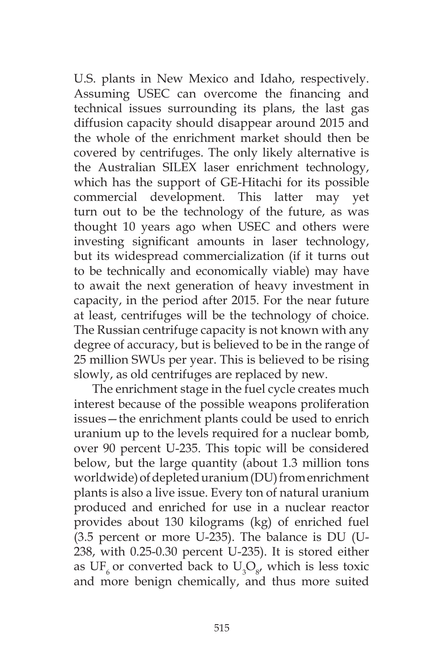U.S. plants in New Mexico and Idaho, respectively. Assuming USEC can overcome the financing and technical issues surrounding its plans, the last gas diffusion capacity should disappear around 2015 and the whole of the enrichment market should then be covered by centrifuges. The only likely alternative is the Australian SILEX laser enrichment technology, which has the support of GE-Hitachi for its possible commercial development. This latter may yet turn out to be the technology of the future, as was thought 10 years ago when USEC and others were investing significant amounts in laser technology, but its widespread commercialization (if it turns out to be technically and economically viable) may have to await the next generation of heavy investment in capacity, in the period after 2015. For the near future at least, centrifuges will be the technology of choice. The Russian centrifuge capacity is not known with any degree of accuracy, but is believed to be in the range of 25 million SWUs per year. This is believed to be rising slowly, as old centrifuges are replaced by new.

The enrichment stage in the fuel cycle creates much interest because of the possible weapons proliferation issues—the enrichment plants could be used to enrich uranium up to the levels required for a nuclear bomb, over 90 percent U-235. This topic will be considered below, but the large quantity (about 1.3 million tons worldwide) of depleted uranium (DU) from enrichment plants is also a live issue. Every ton of natural uranium produced and enriched for use in a nuclear reactor provides about 130 kilograms (kg) of enriched fuel (3.5 percent or more U-235). The balance is DU (U-238, with 0.25-0.30 percent U-235). It is stored either as UF<sub>6</sub> or converted back to  $U_3O_{8}$ , which is less toxic and more benign chemically, and thus more suited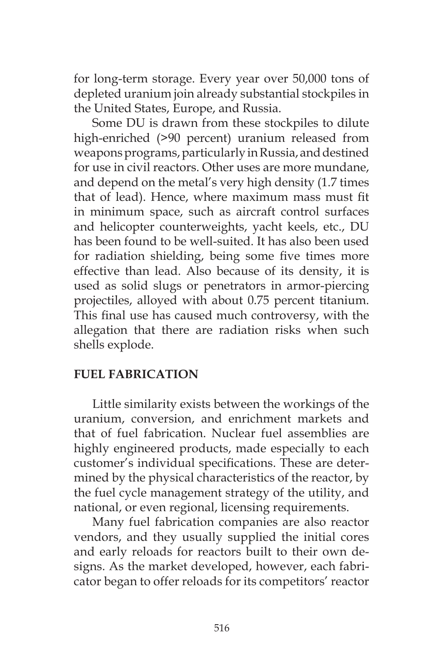for long-term storage. Every year over 50,000 tons of depleted uranium join already substantial stockpiles in the United States, Europe, and Russia.

Some DU is drawn from these stockpiles to dilute high-enriched (>90 percent) uranium released from weapons programs, particularly in Russia, and destined for use in civil reactors. Other uses are more mundane, and depend on the metal's very high density (1.7 times that of lead). Hence, where maximum mass must fit in minimum space, such as aircraft control surfaces and helicopter counterweights, yacht keels, etc., DU has been found to be well-suited. It has also been used for radiation shielding, being some five times more effective than lead. Also because of its density, it is used as solid slugs or penetrators in armor-piercing projectiles, alloyed with about 0.75 percent titanium. This final use has caused much controversy, with the allegation that there are radiation risks when such shells explode.

## **FUEL FABRICATION**

Little similarity exists between the workings of the uranium, conversion, and enrichment markets and that of fuel fabrication. Nuclear fuel assemblies are highly engineered products, made especially to each customer's individual specifications. These are determined by the physical characteristics of the reactor, by the fuel cycle management strategy of the utility, and national, or even regional, licensing requirements.

Many fuel fabrication companies are also reactor vendors, and they usually supplied the initial cores and early reloads for reactors built to their own designs. As the market developed, however, each fabricator began to offer reloads for its competitors' reactor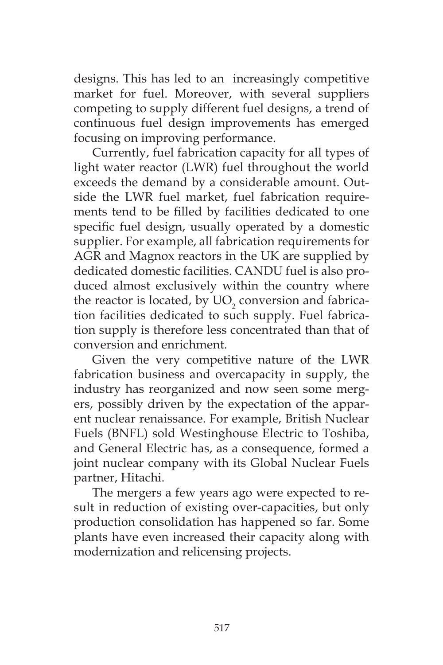designs. This has led to an increasingly competitive market for fuel. Moreover, with several suppliers competing to supply different fuel designs, a trend of continuous fuel design improvements has emerged focusing on improving performance.

Currently, fuel fabrication capacity for all types of light water reactor (LWR) fuel throughout the world exceeds the demand by a considerable amount. Outside the LWR fuel market, fuel fabrication requirements tend to be filled by facilities dedicated to one specific fuel design, usually operated by a domestic supplier. For example, all fabrication requirements for AGR and Magnox reactors in the UK are supplied by dedicated domestic facilities. CANDU fuel is also produced almost exclusively within the country where the reactor is located, by  $\mathop{\rm UO}\nolimits_2$  conversion and fabrication facilities dedicated to such supply. Fuel fabrication supply is therefore less concentrated than that of conversion and enrichment.

Given the very competitive nature of the LWR fabrication business and overcapacity in supply, the industry has reorganized and now seen some mergers, possibly driven by the expectation of the apparent nuclear renaissance. For example, British Nuclear Fuels (BNFL) sold Westinghouse Electric to Toshiba, and General Electric has, as a consequence, formed a joint nuclear company with its Global Nuclear Fuels partner, Hitachi.

The mergers a few years ago were expected to result in reduction of existing over-capacities, but only production consolidation has happened so far. Some plants have even increased their capacity along with modernization and relicensing projects.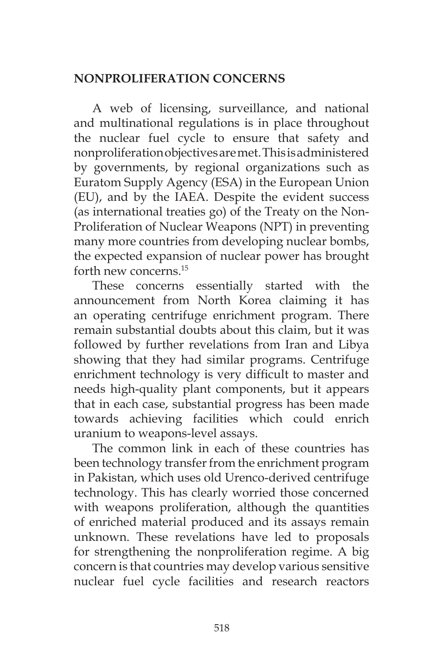## **NONPROLIFERATION CONCERNS**

A web of licensing, surveillance, and national and multinational regulations is in place throughout the nuclear fuel cycle to ensure that safety and nonproliferation objectives are met. This is administered by governments, by regional organizations such as Euratom Supply Agency (ESA) in the European Union (EU), and by the IAEA. Despite the evident success (as international treaties go) of the Treaty on the Non-Proliferation of Nuclear Weapons (NPT) in preventing many more countries from developing nuclear bombs, the expected expansion of nuclear power has brought forth new concerns.15

These concerns essentially started with the announcement from North Korea claiming it has an operating centrifuge enrichment program. There remain substantial doubts about this claim, but it was followed by further revelations from Iran and Libya showing that they had similar programs. Centrifuge enrichment technology is very difficult to master and needs high-quality plant components, but it appears that in each case, substantial progress has been made towards achieving facilities which could enrich uranium to weapons-level assays.

The common link in each of these countries has been technology transfer from the enrichment program in Pakistan, which uses old Urenco-derived centrifuge technology. This has clearly worried those concerned with weapons proliferation, although the quantities of enriched material produced and its assays remain unknown. These revelations have led to proposals for strengthening the nonproliferation regime. A big concern is that countries may develop various sensitive nuclear fuel cycle facilities and research reactors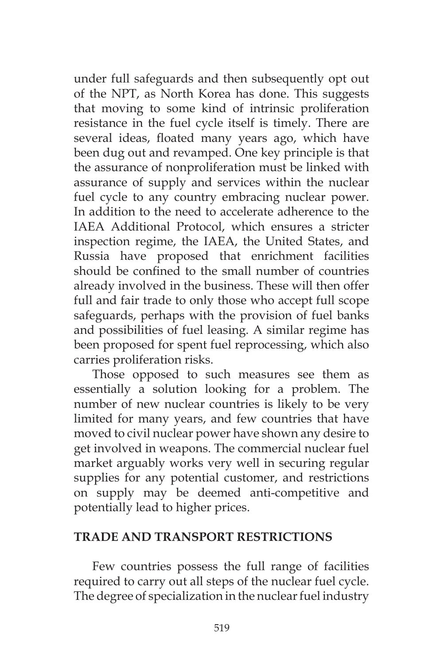under full safeguards and then subsequently opt out of the NPT, as North Korea has done. This suggests that moving to some kind of intrinsic proliferation resistance in the fuel cycle itself is timely. There are several ideas, floated many years ago, which have been dug out and revamped. One key principle is that the assurance of nonproliferation must be linked with assurance of supply and services within the nuclear fuel cycle to any country embracing nuclear power. In addition to the need to accelerate adherence to the IAEA Additional Protocol, which ensures a stricter inspection regime, the IAEA, the United States, and Russia have proposed that enrichment facilities should be confined to the small number of countries already involved in the business. These will then offer full and fair trade to only those who accept full scope safeguards, perhaps with the provision of fuel banks and possibilities of fuel leasing. A similar regime has been proposed for spent fuel reprocessing, which also carries proliferation risks.

Those opposed to such measures see them as essentially a solution looking for a problem. The number of new nuclear countries is likely to be very limited for many years, and few countries that have moved to civil nuclear power have shown any desire to get involved in weapons. The commercial nuclear fuel market arguably works very well in securing regular supplies for any potential customer, and restrictions on supply may be deemed anti-competitive and potentially lead to higher prices.

#### **TRADE AND TRANSPORT RESTRICTIONS**

Few countries possess the full range of facilities required to carry out all steps of the nuclear fuel cycle. The degree of specialization in the nuclear fuel industry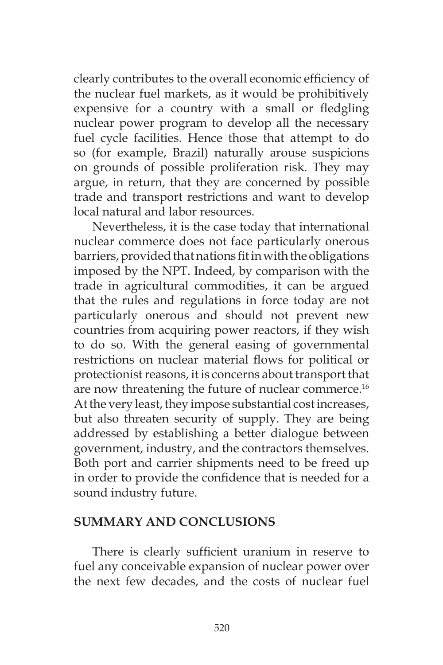clearly contributes to the overall economic efficiency of the nuclear fuel markets, as it would be prohibitively expensive for a country with a small or fledgling nuclear power program to develop all the necessary fuel cycle facilities. Hence those that attempt to do so (for example, Brazil) naturally arouse suspicions on grounds of possible proliferation risk. They may argue, in return, that they are concerned by possible trade and transport restrictions and want to develop local natural and labor resources.

Nevertheless, it is the case today that international nuclear commerce does not face particularly onerous barriers, provided that nations fit in with the obligations imposed by the NPT. Indeed, by comparison with the trade in agricultural commodities, it can be argued that the rules and regulations in force today are not particularly onerous and should not prevent new countries from acquiring power reactors, if they wish to do so. With the general easing of governmental restrictions on nuclear material flows for political or protectionist reasons, it is concerns about transport that are now threatening the future of nuclear commerce.<sup>16</sup> At the very least, they impose substantial cost increases, but also threaten security of supply. They are being addressed by establishing a better dialogue between government, industry, and the contractors themselves. Both port and carrier shipments need to be freed up in order to provide the confidence that is needed for a sound industry future.

#### **SUMMARY AND CONCLUSIONS**

There is clearly sufficient uranium in reserve to fuel any conceivable expansion of nuclear power over the next few decades, and the costs of nuclear fuel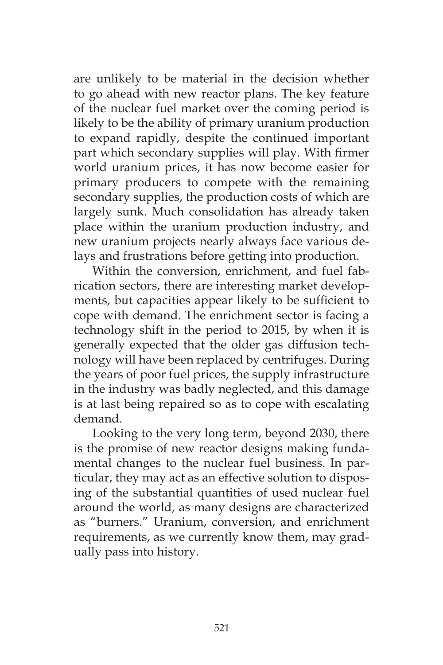are unlikely to be material in the decision whether to go ahead with new reactor plans. The key feature of the nuclear fuel market over the coming period is likely to be the ability of primary uranium production to expand rapidly, despite the continued important part which secondary supplies will play. With firmer world uranium prices, it has now become easier for primary producers to compete with the remaining secondary supplies, the production costs of which are largely sunk. Much consolidation has already taken place within the uranium production industry, and new uranium projects nearly always face various delays and frustrations before getting into production.

Within the conversion, enrichment, and fuel fabrication sectors, there are interesting market developments, but capacities appear likely to be sufficient to cope with demand. The enrichment sector is facing a technology shift in the period to 2015, by when it is generally expected that the older gas diffusion technology will have been replaced by centrifuges. During the years of poor fuel prices, the supply infrastructure in the industry was badly neglected, and this damage is at last being repaired so as to cope with escalating demand.

Looking to the very long term, beyond 2030, there is the promise of new reactor designs making fundamental changes to the nuclear fuel business. In particular, they may act as an effective solution to disposing of the substantial quantities of used nuclear fuel around the world, as many designs are characterized as "burners." Uranium, conversion, and enrichment requirements, as we currently know them, may gradually pass into history.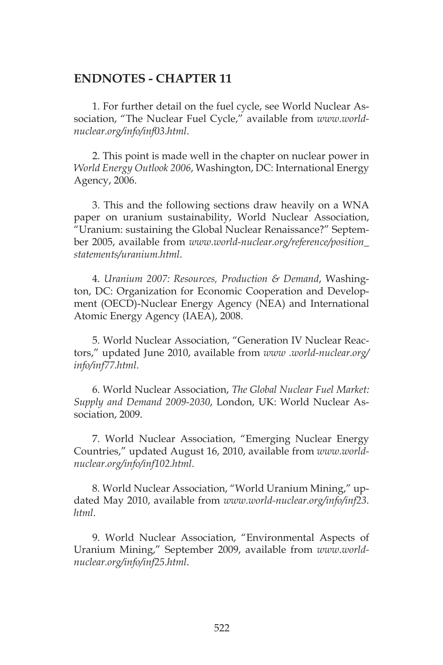#### **ENDNOTES - CHAPTER 11**

1. For further detail on the fuel cycle, see World Nuclear Association, "The Nuclear Fuel Cycle," available from *www.worldnuclear.org/info/inf03.html*.

2. This point is made well in the chapter on nuclear power in *World Energy Outlook 2006*, Washington, DC: International Energy Agency, 2006.

3. This and the following sections draw heavily on a WNA paper on uranium sustainability, World Nuclear Association, "Uranium: sustaining the Global Nuclear Renaissance?" September 2005, available from *www.world-nuclear.org/reference/position\_ statements/uranium.html*.

4. *Uranium 2007: Resources, Production & Demand*, Washington, DC: Organization for Economic Cooperation and Development (OECD)-Nuclear Energy Agency (NEA) and International Atomic Energy Agency (IAEA), 2008.

5. World Nuclear Association, "Generation IV Nuclear Reactors," updated June 2010, available from *www .world-nuclear.org/ info/inf77.html*.

6. World Nuclear Association, *The Global Nuclear Fuel Market: Supply and Demand 2009-2030*, London, UK: World Nuclear Association, 2009.

7. World Nuclear Association, "Emerging Nuclear Energy Countries," updated August 16, 2010, available from *www.worldnuclear.org/info/inf102.html*.

8. World Nuclear Association, "World Uranium Mining," updated May 2010, available from *www.world-nuclear.org/info/inf23. html*.

9. World Nuclear Association, "Environmental Aspects of Uranium Mining," September 2009, available from *www.worldnuclear.org/info/inf25.html*.